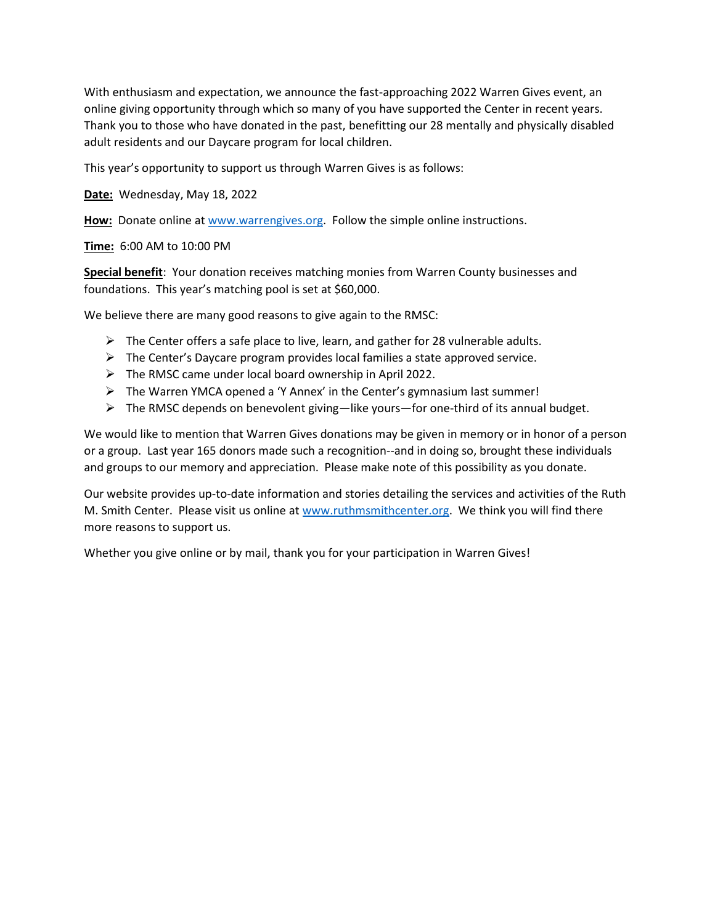With enthusiasm and expectation, we announce the fast-approaching 2022 Warren Gives event, an online giving opportunity through which so many of you have supported the Center in recent years. Thank you to those who have donated in the past, benefitting our 28 mentally and physically disabled adult residents and our Daycare program for local children.

This year's opportunity to support us through Warren Gives is as follows:

**Date:** Wednesday, May 18, 2022

**How:** Donate online at [www.warrengives.org.](http://www.warrengives.org/) Follow the simple online instructions.

**Time:** 6:00 AM to 10:00 PM

**Special benefit**: Your donation receives matching monies from Warren County businesses and foundations. This year's matching pool is set at \$60,000.

We believe there are many good reasons to give again to the RMSC:

- $\triangleright$  The Center offers a safe place to live, learn, and gather for 28 vulnerable adults.
- $\triangleright$  The Center's Daycare program provides local families a state approved service.
- ➢ The RMSC came under local board ownership in April 2022.
- ➢ The Warren YMCA opened a 'Y Annex' in the Center's gymnasium last summer!
- ➢ The RMSC depends on benevolent giving—like yours—for one-third of its annual budget.

We would like to mention that Warren Gives donations may be given in memory or in honor of a person or a group. Last year 165 donors made such a recognition--and in doing so, brought these individuals and groups to our memory and appreciation. Please make note of this possibility as you donate.

Our website provides up-to-date information and stories detailing the services and activities of the Ruth M. Smith Center. Please visit us online at [www.ruthmsmithcenter.org.](http://www.ruthmsmithcenter.org/) We think you will find there more reasons to support us.

Whether you give online or by mail, thank you for your participation in Warren Gives!